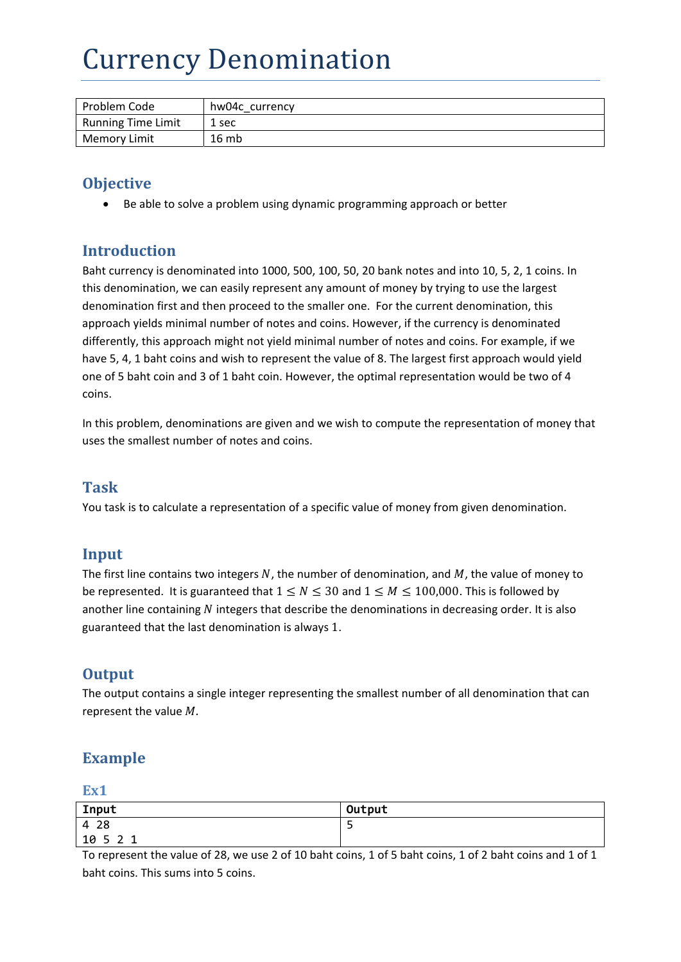# Currency Denomination

| Problem Code       | hw04c currency |
|--------------------|----------------|
| Running Time Limit | 1 sec          |
| Memory Limit       | 16 mb          |

## **Objective**

• Be able to solve a problem using dynamic programming approach or better

#### **Introduction**

Baht currency is denominated into 1000, 500, 100, 50, 20 bank notes and into 10, 5, 2, 1 coins. In this denomination, we can easily represent any amount of money by trying to use the largest denomination first and then proceed to the smaller one. For the current denomination, this approach yields minimal number of notes and coins. However, if the currency is denominated differently, this approach might not yield minimal number of notes and coins. For example, if we have 5, 4, 1 baht coins and wish to represent the value of 8. The largest first approach would yield one of 5 baht coin and 3 of 1 baht coin. However, the optimal representation would be two of 4 coins.

In this problem, denominations are given and we wish to compute the representation of money that uses the smallest number of notes and coins.

#### **Task**

You task is to calculate a representation of a specific value of money from given denomination.

## **Input**

The first line contains two integers  $N$ , the number of denomination, and  $M$ , the value of money to be represented. It is guaranteed that  $1 \leq N \leq 30$  and  $1 \leq M \leq 100,000$ . This is followed by another line containing  *integers that describe the denominations in decreasing order. It is also* guaranteed that the last denomination is always 1.

#### **Output**

The output contains a single integer representing the smallest number of all denomination that can represent the value  $M$ .

# **Example**

| Ex1      |        |
|----------|--------|
| Input    | Output |
| 4 28     | ے      |
| 10 5 2 1 |        |

To represent the value of 28, we use 2 of 10 baht coins, 1 of 5 baht coins, 1 of 2 baht coins and 1 of 1 baht coins. This sums into 5 coins.